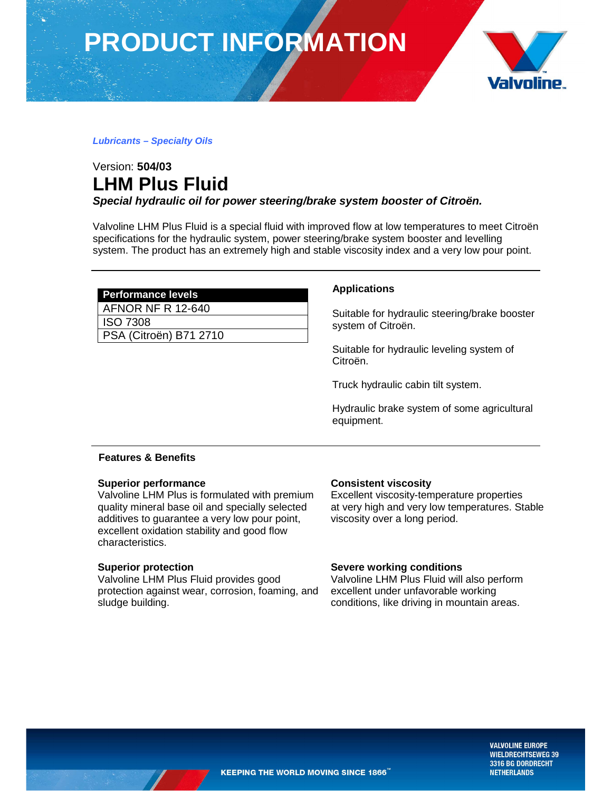**PRODUCT INFORMATION**



#### **Lubricants – Specialty Oils**

# Version: **504/03 LHM Plus Fluid**

**Special hydraulic oil for power steering/brake system booster of Citroën.** 

Valvoline LHM Plus Fluid is a special fluid with improved flow at low temperatures to meet Citroën specifications for the hydraulic system, power steering/brake system booster and levelling system. The product has an extremely high and stable viscosity index and a very low pour point.

| <b>Performance levels</b>    |
|------------------------------|
| AFNOR NF R 12-640            |
| <b>ISO 7308</b>              |
| <b>BOA (O):</b> " \ B74 6746 |

PSA (Citroën) B71 2710

# **Applications**

Suitable for hydraulic steering/brake booster system of Citroën.

Suitable for hydraulic leveling system of Citroën.

Truck hydraulic cabin tilt system.

Hydraulic brake system of some agricultural equipment.

# **Features & Benefits**

# **Superior performance**

Valvoline LHM Plus is formulated with premium quality mineral base oil and specially selected additives to guarantee a very low pour point, excellent oxidation stability and good flow characteristics.

# **Superior protection**

Valvoline LHM Plus Fluid provides good protection against wear, corrosion, foaming, and sludge building.

# **Consistent viscosity**

Excellent viscosity-temperature properties at very high and very low temperatures. Stable viscosity over a long period.

# **Severe working conditions**

Valvoline LHM Plus Fluid will also perform excellent under unfavorable working conditions, like driving in mountain areas.

> **VALVOLINE EUROPE WIELDRECHTSEWEG 39** 3316 BG DORDRECHT **NETHERLANDS**